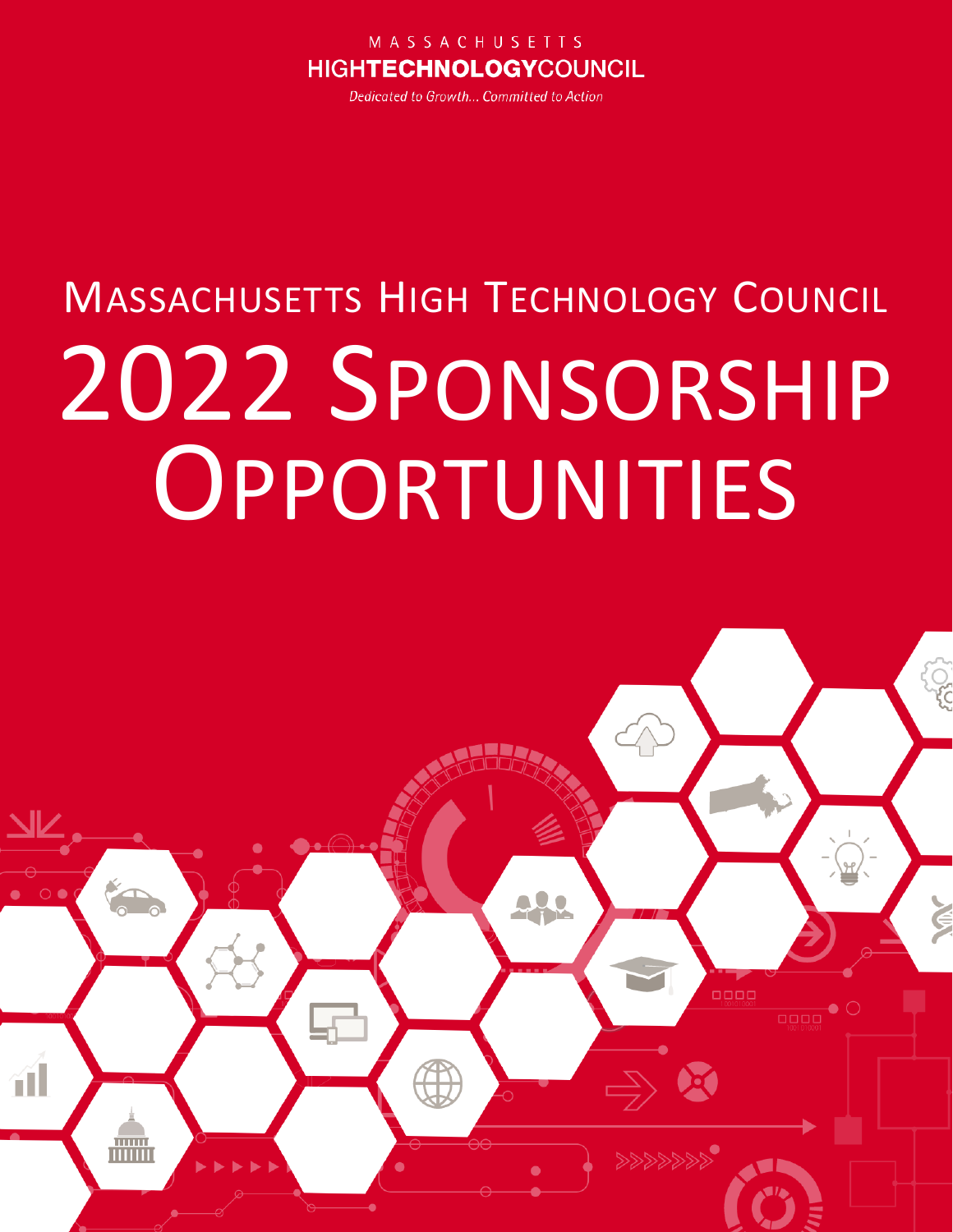#### MASSACHUSETTS **HIGHTECHNOLOGYCOUNCIL**

Dedicated to Growth... Committed to Action

# **MASSACHUSETTS HIGH TECHNOLOGY COUNCIL** 2022 SPONSORSHIP OPPORTUNITIES

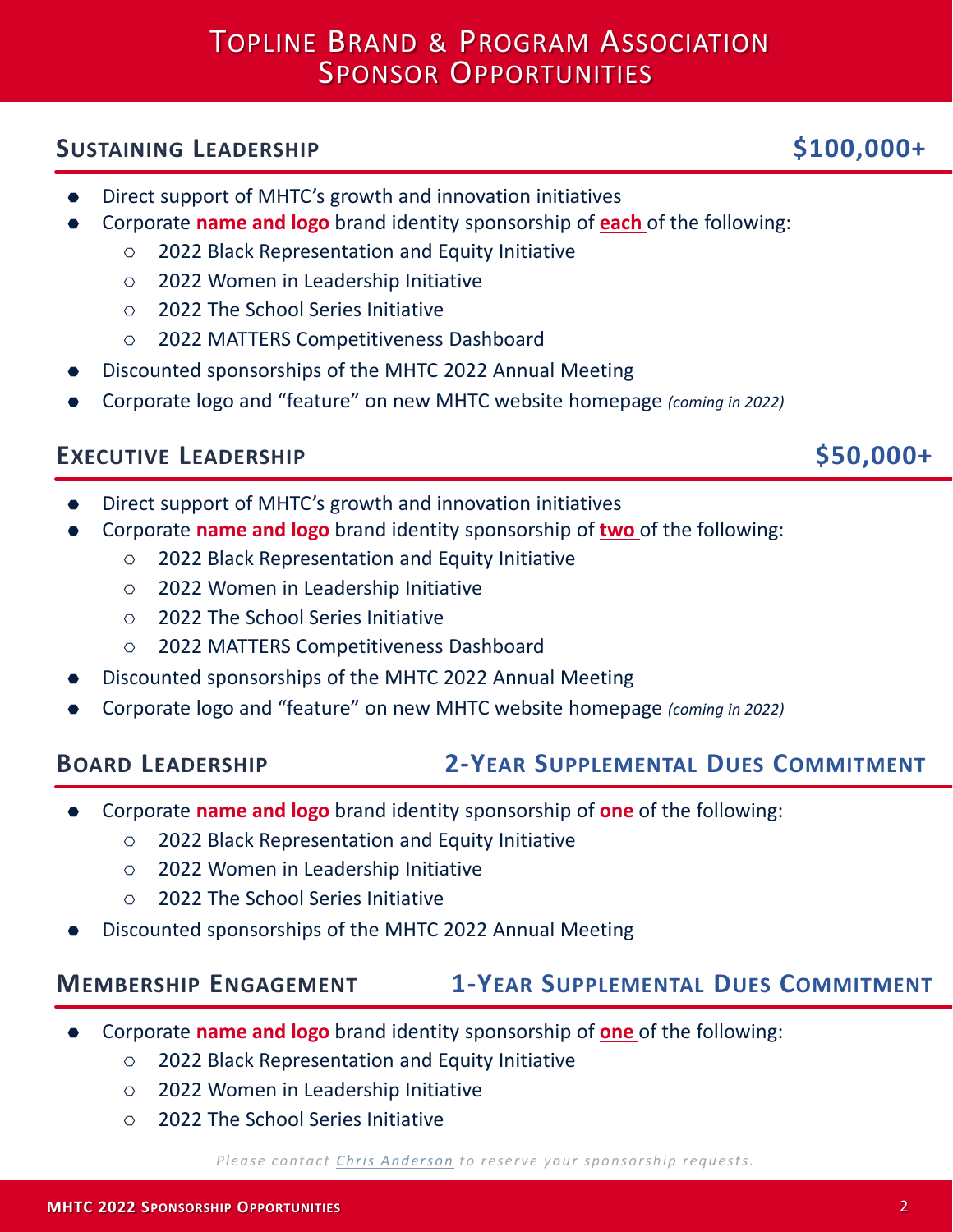# TOPLINE BRAND & PROGRAM ASSOCIATION SPONSOR OPPORTUNITIES

#### **SUSTAINING LEADERSHIP \$100,000+**

- Direct support of MHTC's growth and innovation initiatives
- ⬣ Corporate **name and logo** brand identity sponsorship of **each** of the following:
	- $\circ$  2022 Black Representation and Equity Initiative
	- ⎔ 2022 Women in Leadership Initiative
	- ⎔ 2022 The School Series Initiative
	- ⎔ 2022 MATTERS Competitiveness Dashboard
- ⬣ Discounted sponsorships of the MHTC 2022 Annual Meeting
- ⬣ Corporate logo and "feature" on new MHTC website homepage *(coming in 2022)*

### **EXECUTIVE LEADERSHIP \$50,000+**

- Direct support of MHTC's growth and innovation initiatives
- ⬣ Corporate **name and logo** brand identity sponsorship of **two** of the following:
	- $\circ$  2022 Black Representation and Equity Initiative
	- ⎔ 2022 Women in Leadership Initiative
	- ⎔ 2022 The School Series Initiative
	- ⎔ 2022 MATTERS Competitiveness Dashboard
- ⬣ Discounted sponsorships of the MHTC 2022 Annual Meeting
- ⬣ Corporate logo and "feature" on new MHTC website homepage *(coming in 2022)*

### **BOARD LEADERSHIP 2-YEAR SUPPLEMENTAL DUES COMMITMENT**

- ⬣ Corporate **name and logo** brand identity sponsorship of **one** of the following:
	- $\circ$  2022 Black Representation and Equity Initiative
	- ⎔ 2022 Women in Leadership Initiative
	- ⎔ 2022 The School Series Initiative
- ⬣ Discounted sponsorships of the MHTC 2022 Annual Meeting

### **MEMBERSHIP ENGAGEMENT 1-YEAR SUPPLEMENTAL DUES COMMITMENT**

- ⬣ Corporate **name and logo** brand identity sponsorship of **one** of the following:
	- $\circ$  2022 Black Representation and Equity Initiative
	- ⎔ 2022 Women in Leadership Initiative
	- ⎔ 2022 The School Series Initiative

#### *Please contact [Chris Anderson](mailto:chris@mhtc.org) to reserve your sponsorship requests.*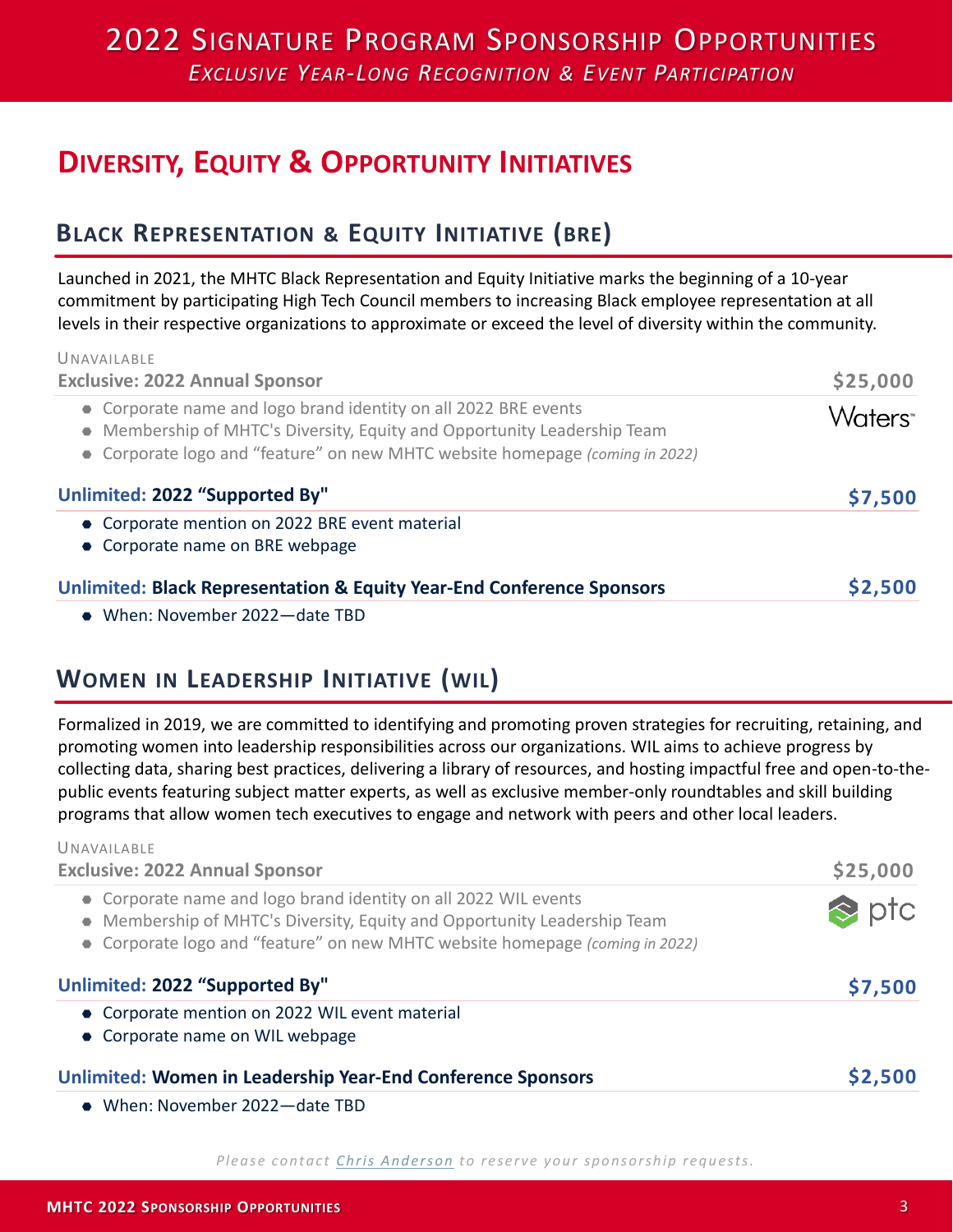## 2022 SIGNATURE PROGRAM SPONSORSHIP OPPORTUNITIES *EXCLUSIVE YEAR-LONG RECOGNITION & EVENT PARTICIPATION*

# **DIVERSITY, EQUITY & OPPORTUNITY INITIATIVES**

### **BLACK REPRESENTATION & EQUITY INITIATIVE (BRE)**

Launched in 2021, the MHTC Black Representation and Equity Initiative marks the beginning of a 10-year commitment by participating High Tech Council members to increasing Black employee representation at all levels in their respective organizations to approximate or exceed the level of diversity within the community.

| UNAVAIIABIF<br><b>Exclusive: 2022 Annual Sponsor</b>                                                                                                                                                                        | \$25,000           |
|-----------------------------------------------------------------------------------------------------------------------------------------------------------------------------------------------------------------------------|--------------------|
| • Corporate name and logo brand identity on all 2022 BRE events<br>• Membership of MHTC's Diversity, Equity and Opportunity Leadership Team<br>• Corporate logo and "feature" on new MHTC website homepage (coming in 2022) | Waters <sup></sup> |
| Unlimited: 2022 "Supported By"                                                                                                                                                                                              | \$7,500            |
| • Corporate mention on 2022 BRE event material<br>• Corporate name on BRE webpage                                                                                                                                           |                    |
| <b>Unlimited: Black Representation &amp; Equity Year-End Conference Sponsors</b>                                                                                                                                            | \$2,500            |
| • When: November 2022-date TBD                                                                                                                                                                                              |                    |

#### **WOMEN IN LEADERSHIP INITIATIVE (WIL)**

UNAVAILABLE

Formalized in 2019, we are committed to identifying and promoting proven strategies for recruiting, retaining, and promoting women into leadership responsibilities across our organizations. WIL aims to achieve progress by collecting data, sharing best practices, delivering a library of resources, and hosting impactful free and open-to-thepublic events featuring subject matter experts, as well as exclusive member-only roundtables and skill building programs that allow women tech executives to engage and network with peers and other local leaders.

| UNAVAILABLE<br><b>Exclusive: 2022 Annual Sponsor</b>                                                                                                                                                                        | \$25,000      |
|-----------------------------------------------------------------------------------------------------------------------------------------------------------------------------------------------------------------------------|---------------|
| • Corporate name and logo brand identity on all 2022 WIL events<br>• Membership of MHTC's Diversity, Equity and Opportunity Leadership Team<br>• Corporate logo and "feature" on new MHTC website homepage (coming in 2022) | $\approx$ ptc |
| Unlimited: 2022 "Supported By"                                                                                                                                                                                              | \$7,500       |
| • Corporate mention on 2022 WIL event material<br>• Corporate name on WIL webpage                                                                                                                                           |               |
| Unlimited: Women in Leadership Year-End Conference Sponsors                                                                                                                                                                 | \$2,500       |
| • When: November 2022-date TBD                                                                                                                                                                                              |               |

#### *Please contact [Chris Anderson](mailto:chris@mhtc.org) to reserve your sponsorship requests.*